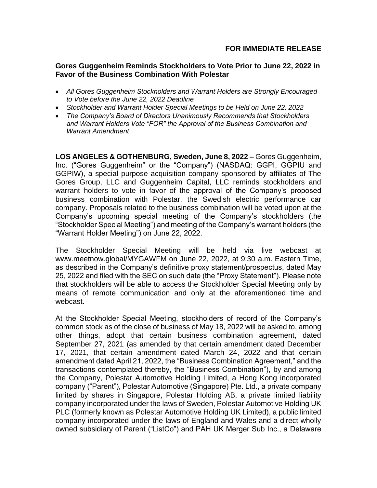# **FOR IMMEDIATE RELEASE**

### **Gores Guggenheim Reminds Stockholders to Vote Prior to June 22, 2022 in Favor of the Business Combination With Polestar**

- *All Gores Guggenheim Stockholders and Warrant Holders are Strongly Encouraged to Vote before the June 22, 2022 Deadline*
- *Stockholder and Warrant Holder Special Meetings to be Held on June 22, 2022*
- *The Company's Board of Directors Unanimously Recommends that Stockholders and Warrant Holders Vote "FOR" the Approval of the Business Combination and Warrant Amendment*

**LOS ANGELES & GOTHENBURG, Sweden, June 8, 2022 –** Gores Guggenheim, Inc. ("Gores Guggenheim" or the "Company") (NASDAQ: GGPI, GGPIU and GGPIW), a special purpose acquisition company sponsored by affiliates of The Gores Group, LLC and Guggenheim Capital, LLC reminds stockholders and warrant holders to vote in favor of the approval of the Company's proposed business combination with Polestar, the Swedish electric performance car company. Proposals related to the business combination will be voted upon at the Company's upcoming special meeting of the Company's stockholders (the "Stockholder Special Meeting") and meeting of the Company's warrant holders (the "Warrant Holder Meeting") on June 22, 2022.

The Stockholder Special Meeting will be held via live webcast at www.meetnow.global/MYGAWFM on June 22, 2022, at 9:30 a.m. Eastern Time, as described in the Company's definitive proxy statement/prospectus, dated May 25, 2022 and filed with the SEC on such date (the "Proxy Statement"). Please note that stockholders will be able to access the Stockholder Special Meeting only by means of remote communication and only at the aforementioned time and webcast.

At the Stockholder Special Meeting, stockholders of record of the Company's common stock as of the close of business of May 18, 2022 will be asked to, among other things, adopt that certain business combination agreement, dated September 27, 2021 (as amended by that certain amendment dated December 17, 2021, that certain amendment dated March 24, 2022 and that certain amendment dated April 21, 2022, the "Business Combination Agreement," and the transactions contemplated thereby, the "Business Combination"), by and among the Company, Polestar Automotive Holding Limited, a Hong Kong incorporated company ("Parent"), Polestar Automotive (Singapore) Pte. Ltd., a private company limited by shares in Singapore, Polestar Holding AB, a private limited liability company incorporated under the laws of Sweden, Polestar Automotive Holding UK PLC (formerly known as Polestar Automotive Holding UK Limited), a public limited company incorporated under the laws of England and Wales and a direct wholly owned subsidiary of Parent ("ListCo") and PAH UK Merger Sub Inc., a Delaware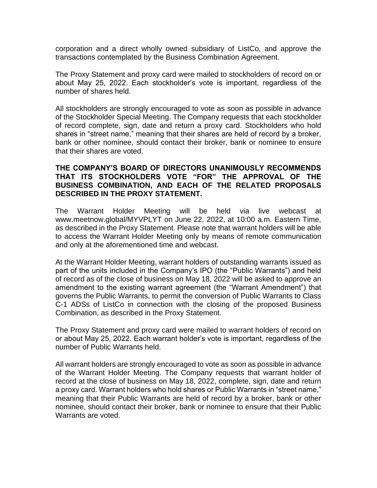corporation and a direct wholly owned subsidiary of ListCo, and approve the transactions contemplated by the Business Combination Agreement.

The Proxy Statement and proxy card were mailed to stockholders of record on or about May 25, 2022. Each stockholder's vote is important, regardless of the number of shares held.

All stockholders are strongly encouraged to vote as soon as possible in advance of the Stockholder Special Meeting. The Company requests that each stockholder of record complete, sign, date and return a proxy card. Stockholders who hold shares in "street name," meaning that their shares are held of record by a broker, bank or other nominee, should contact their broker, bank or nominee to ensure that their shares are voted.

# **THE COMPANY'S BOARD OF DIRECTORS UNANIMOUSLY RECOMMENDS THAT ITS STOCKHOLDERS VOTE "FOR" THE APPROVAL OF THE BUSINESS COMBINATION, AND EACH OF THE RELATED PROPOSALS DESCRIBED IN THE PROXY STATEMENT.**

The Warrant Holder Meeting will be held via live webcast at www.meetnow.global/MYVPLYT on June 22, 2022, at 10:00 a.m. Eastern Time, as described in the Proxy Statement. Please note that warrant holders will be able to access the Warrant Holder Meeting only by means of remote communication and only at the aforementioned time and webcast.

At the Warrant Holder Meeting, warrant holders of outstanding warrants issued as part of the units included in the Company's IPO (the "Public Warrants") and held of record as of the close of business on May 18, 2022 will be asked to approve an amendment to the existing warrant agreement (the "Warrant Amendment") that governs the Public Warrants, to permit the conversion of Public Warrants to Class C-1 ADSs of ListCo in connection with the closing of the proposed Business Combination, as described in the Proxy Statement.

The Proxy Statement and proxy card were mailed to warrant holders of record on or about May 25, 2022. Each warrant holder's vote is important, regardless of the number of Public Warrants held.

All warrant holders are strongly encouraged to vote as soon as possible in advance of the Warrant Holder Meeting. The Company requests that warrant holder of record at the close of business on May 18, 2022, complete, sign, date and return a proxy card. Warrant holders who hold shares or Public Warrants in "street name," meaning that their Public Warrants are held of record by a broker, bank or other nominee, should contact their broker, bank or nominee to ensure that their Public Warrants are voted.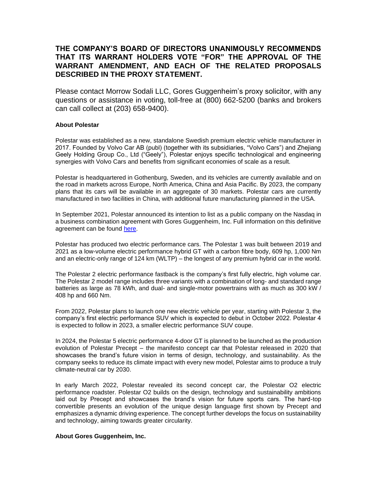# **THE COMPANY'S BOARD OF DIRECTORS UNANIMOUSLY RECOMMENDS THAT ITS WARRANT HOLDERS VOTE "FOR" THE APPROVAL OF THE WARRANT AMENDMENT, AND EACH OF THE RELATED PROPOSALS DESCRIBED IN THE PROXY STATEMENT.**

Please contact Morrow Sodali LLC, Gores Guggenheim's proxy solicitor, with any questions or assistance in voting, toll-free at (800) 662-5200 (banks and brokers can call collect at (203) 658-9400).

### **About Polestar**

Polestar was established as a new, standalone Swedish premium electric vehicle manufacturer in 2017. Founded by Volvo Car AB (publ) (together with its subsidiaries, "Volvo Cars") and Zhejiang Geely Holding Group Co., Ltd ("Geely"), Polestar enjoys specific technological and engineering synergies with Volvo Cars and benefits from significant economies of scale as a result.

Polestar is headquartered in Gothenburg, Sweden, and its vehicles are currently available and on the road in markets across Europe, North America, China and Asia Pacific. By 2023, the company plans that its cars will be available in an aggregate of 30 markets. Polestar cars are currently manufactured in two facilities in China, with additional future manufacturing planned in the USA.

In September 2021, Polestar announced its intention to list as a public company on the Nasdaq in a business combination agreement with Gores Guggenheim, Inc. Full information on this definitive agreement can be found [here.](https://media.polestar.com/global/en/media/pressreleases/638625)

Polestar has produced two electric performance cars. The Polestar 1 was built between 2019 and 2021 as a low-volume electric performance hybrid GT with a carbon fibre body, 609 hp, 1,000 Nm and an electric-only range of 124 km (WLTP) – the longest of any premium hybrid car in the world.

The Polestar 2 electric performance fastback is the company's first fully electric, high volume car. The Polestar 2 model range includes three variants with a combination of long- and standard range batteries as large as 78 kWh, and dual- and single-motor powertrains with as much as 300 kW / 408 hp and 660 Nm.

From 2022, Polestar plans to launch one new electric vehicle per year, starting with Polestar 3, the company's first electric performance SUV which is expected to debut in October 2022. Polestar 4 is expected to follow in 2023, a smaller electric performance SUV coupe.

In 2024, the Polestar 5 electric performance 4-door GT is planned to be launched as the production evolution of Polestar Precept – the manifesto concept car that Polestar released in 2020 that showcases the brand's future vision in terms of design, technology, and sustainability. As the company seeks to reduce its climate impact with every new model, Polestar aims to produce a truly climate-neutral car by 2030.

In early March 2022, Polestar revealed its second concept car, the Polestar O2 electric performance roadster. Polestar O2 builds on the design, technology and sustainability ambitions laid out by Precept and showcases the brand's vision for future sports cars. The hard-top convertible presents an evolution of the unique design language first shown by Precept and emphasizes a dynamic driving experience. The concept further develops the focus on sustainability and technology, aiming towards greater circularity.

#### **About Gores Guggenheim, Inc.**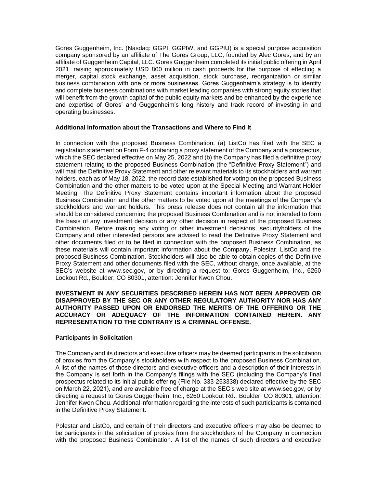Gores Guggenheim, Inc. (Nasdaq: GGPI, GGPIW, and GGPIU) is a special purpose acquisition company sponsored by an affiliate of The Gores Group, LLC, founded by Alec Gores, and by an affiliate of Guggenheim Capital, LLC. Gores Guggenheim completed its initial public offering in April 2021, raising approximately USD 800 million in cash proceeds for the purpose of effecting a merger, capital stock exchange, asset acquisition, stock purchase, reorganization or similar business combination with one or more businesses. Gores Guggenheim's strategy is to identify and complete business combinations with market leading companies with strong equity stories that will benefit from the growth capital of the public equity markets and be enhanced by the experience and expertise of Gores' and Guggenheim's long history and track record of investing in and operating businesses.

### **Additional Information about the Transactions and Where to Find It**

In connection with the proposed Business Combination, (a) ListCo has filed with the SEC a registration statement on Form F-4 containing a proxy statement of the Company and a prospectus, which the SEC declared effective on May 25, 2022 and (b) the Company has filed a definitive proxy statement relating to the proposed Business Combination (the "Definitive Proxy Statement") and will mail the Definitive Proxy Statement and other relevant materials to its stockholders and warrant holders, each as of May 18, 2022, the record date established for voting on the proposed Business Combination and the other matters to be voted upon at the Special Meeting and Warrant Holder Meeting. The Definitive Proxy Statement contains important information about the proposed Business Combination and the other matters to be voted upon at the meetings of the Company's stockholders and warrant holders. This press release does not contain all the information that should be considered concerning the proposed Business Combination and is not intended to form the basis of any investment decision or any other decision in respect of the proposed Business Combination. Before making any voting or other investment decisions, securityholders of the Company and other interested persons are advised to read the Definitive Proxy Statement and other documents filed or to be filed in connection with the proposed Business Combination, as these materials will contain important information about the Company, Polestar, ListCo and the proposed Business Combination. Stockholders will also be able to obtain copies of the Definitive Proxy Statement and other documents filed with the SEC, without charge, once available, at the SEC's website at www.sec.gov, or by directing a request to: Gores Guggenheim, Inc., 6260 Lookout Rd., Boulder, CO 80301, attention: Jennifer Kwon Chou.

### **INVESTMENT IN ANY SECURITIES DESCRIBED HEREIN HAS NOT BEEN APPROVED OR DISAPPROVED BY THE SEC OR ANY OTHER REGULATORY AUTHORITY NOR HAS ANY AUTHORITY PASSED UPON OR ENDORSED THE MERITS OF THE OFFERING OR THE ACCURACY OR ADEQUACY OF THE INFORMATION CONTAINED HEREIN. ANY REPRESENTATION TO THE CONTRARY IS A CRIMINAL OFFENSE.**

### **Participants in Solicitation**

The Company and its directors and executive officers may be deemed participants in the solicitation of proxies from the Company's stockholders with respect to the proposed Business Combination. A list of the names of those directors and executive officers and a description of their interests in the Company is set forth in the Company's filings with the SEC (including the Company's final prospectus related to its initial public offering (File No. 333-253338) declared effective by the SEC on March 22, 2021), and are available free of charge at the SEC's web site at www.sec.gov, or by directing a request to Gores Guggenheim, Inc., 6260 Lookout Rd., Boulder, CO 80301, attention: Jennifer Kwon Chou. Additional information regarding the interests of such participants is contained in the Definitive Proxy Statement.

Polestar and ListCo, and certain of their directors and executive officers may also be deemed to be participants in the solicitation of proxies from the stockholders of the Company in connection with the proposed Business Combination. A list of the names of such directors and executive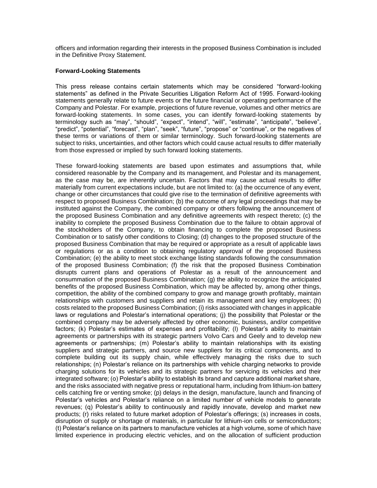officers and information regarding their interests in the proposed Business Combination is included in the Definitive Proxy Statement.

### **Forward-Looking Statements**

This press release contains certain statements which may be considered "forward-looking statements" as defined in the Private Securities Litigation Reform Act of 1995. Forward-looking statements generally relate to future events or the future financial or operating performance of the Company and Polestar. For example, projections of future revenue, volumes and other metrics are forward-looking statements. In some cases, you can identify forward-looking statements by terminology such as "may", "should", "expect", "intend", "will", "estimate", "anticipate", "believe", "predict", "potential", "forecast", "plan", "seek", "future", "propose" or "continue", or the negatives of these terms or variations of them or similar terminology. Such forward-looking statements are subject to risks, uncertainties, and other factors which could cause actual results to differ materially from those expressed or implied by such forward looking statements.

These forward-looking statements are based upon estimates and assumptions that, while considered reasonable by the Company and its management, and Polestar and its management, as the case may be, are inherently uncertain. Factors that may cause actual results to differ materially from current expectations include, but are not limited to: (a) the occurrence of any event, change or other circumstances that could give rise to the termination of definitive agreements with respect to proposed Business Combination; (b) the outcome of any legal proceedings that may be instituted against the Company, the combined company or others following the announcement of the proposed Business Combination and any definitive agreements with respect thereto; (c) the inability to complete the proposed Business Combination due to the failure to obtain approval of the stockholders of the Company, to obtain financing to complete the proposed Business Combination or to satisfy other conditions to Closing; (d) changes to the proposed structure of the proposed Business Combination that may be required or appropriate as a result of applicable laws or regulations or as a condition to obtaining regulatory approval of the proposed Business Combination; (e) the ability to meet stock exchange listing standards following the consummation of the proposed Business Combination; (f) the risk that the proposed Business Combination disrupts current plans and operations of Polestar as a result of the announcement and consummation of the proposed Business Combination; (g) the ability to recognize the anticipated benefits of the proposed Business Combination, which may be affected by, among other things, competition, the ability of the combined company to grow and manage growth profitably, maintain relationships with customers and suppliers and retain its management and key employees; (h) costs related to the proposed Business Combination; (i) risks associated with changes in applicable laws or regulations and Polestar's international operations; (j) the possibility that Polestar or the combined company may be adversely affected by other economic, business, and/or competitive factors; (k) Polestar's estimates of expenses and profitability; (l) Polestar's ability to maintain agreements or partnerships with its strategic partners Volvo Cars and Geely and to develop new agreements or partnerships; (m) Polestar's ability to maintain relationships with its existing suppliers and strategic partners, and source new suppliers for its critical components, and to complete building out its supply chain, while effectively managing the risks due to such relationships; (n) Polestar's reliance on its partnerships with vehicle charging networks to provide charging solutions for its vehicles and its strategic partners for servicing its vehicles and their integrated software; (o) Polestar's ability to establish its brand and capture additional market share, and the risks associated with negative press or reputational harm, including from lithium-ion battery cells catching fire or venting smoke; (p) delays in the design, manufacture, launch and financing of Polestar's vehicles and Polestar's reliance on a limited number of vehicle models to generate revenues; (q) Polestar's ability to continuously and rapidly innovate, develop and market new products; (r) risks related to future market adoption of Polestar's offerings; (s) increases in costs, disruption of supply or shortage of materials, in particular for lithium-ion cells or semiconductors; (t) Polestar's reliance on its partners to manufacture vehicles at a high volume, some of which have limited experience in producing electric vehicles, and on the allocation of sufficient production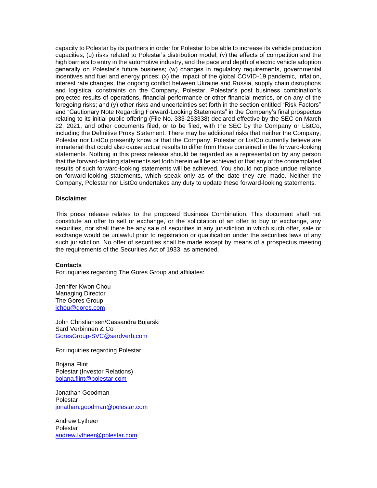capacity to Polestar by its partners in order for Polestar to be able to increase its vehicle production capacities; (u) risks related to Polestar's distribution model; (v) the effects of competition and the high barriers to entry in the automotive industry, and the pace and depth of electric vehicle adoption generally on Polestar's future business; (w) changes in regulatory requirements, governmental incentives and fuel and energy prices; (x) the impact of the global COVID-19 pandemic, inflation, interest rate changes, the ongoing conflict between Ukraine and Russia, supply chain disruptions and logistical constraints on the Company, Polestar, Polestar's post business combination's projected results of operations, financial performance or other financial metrics, or on any of the foregoing risks; and (y) other risks and uncertainties set forth in the section entitled "Risk Factors" and "Cautionary Note Regarding Forward-Looking Statements" in the Company's final prospectus relating to its initial public offering (File No. 333-253338) declared effective by the SEC on March 22, 2021, and other documents filed, or to be filed, with the SEC by the Company or ListCo, including the Definitive Proxy Statement. There may be additional risks that neither the Company, Polestar nor ListCo presently know or that the Company, Polestar or ListCo currently believe are immaterial that could also cause actual results to differ from those contained in the forward-looking statements. Nothing in this press release should be regarded as a representation by any person that the forward-looking statements set forth herein will be achieved or that any of the contemplated results of such forward-looking statements will be achieved. You should not place undue reliance on forward-looking statements, which speak only as of the date they are made. Neither the Company, Polestar nor ListCo undertakes any duty to update these forward-looking statements.

#### **Disclaimer**

This press release relates to the proposed Business Combination. This document shall not constitute an offer to sell or exchange, or the solicitation of an offer to buy or exchange, any securities, nor shall there be any sale of securities in any jurisdiction in which such offer, sale or exchange would be unlawful prior to registration or qualification under the securities laws of any such jurisdiction. No offer of securities shall be made except by means of a prospectus meeting the requirements of the Securities Act of 1933, as amended.

#### **Contacts**

For inquiries regarding The Gores Group and affiliates:

Jennifer Kwon Chou Managing Director The Gores Group [jchou@gores.com](mailto:jchou@gores.com)

John Christiansen/Cassandra Bujarski Sard Verbinnen & Co [GoresGroup-SVC@sardverb.com](mailto:GoresGroup-SVC@sardverb.com)

For inquiries regarding Polestar:

Bojana Flint Polestar (Investor Relations) [bojana.flint@polestar.com](mailto:bojana.flint@polestar.com)

Jonathan Goodman Polestar [jonathan.goodman@polestar.com](mailto:jonathan.goodman@polestar.com)

Andrew Lytheer **Polestar** [andrew.lytheer@polestar.com](mailto:andrew.lytheer@polestar.com)